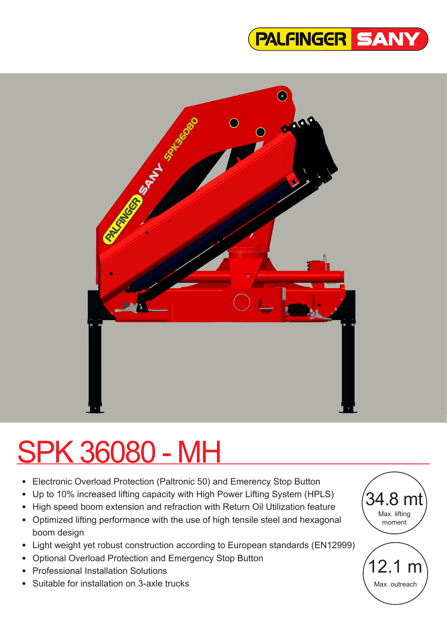



# SPK 36080 - MH

- Electronic Overload Protection (Paltronic 50) and Emerency Stop Button
- Up to 10% increased lifting capacity with High Power Lifting System (HPLS)
- High speed boom extension and refraction with Return Oil Utilization feature
- Optimized lifting performance with the use of high tensile steel and hexagonal boom design
- Light weight yet robust construction according to European standards (EN12999)
- Optional Overload Protection and Emergency Stop Button
- Professional Installation Solutions
- Suitable for installation on 3-axle trucks